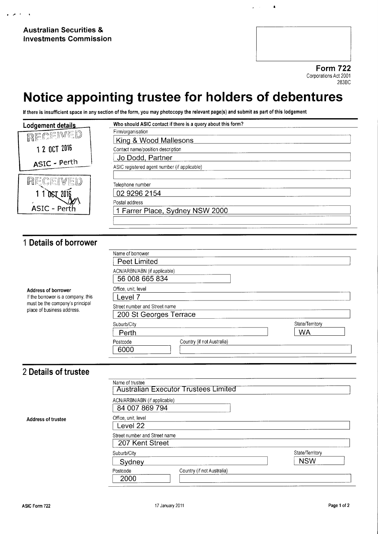4

 $\overline{\phantom{a}}$ 

Form 722 Corporations Act 2001 283BC

 $\blacksquare$ 

## Notice appointing trustee for holders of debentures

If there is insufficient space in any section of the form, you may photocopy the relevant page(s) and submit as part of this lodgement

|                                                                  | Who should ASIC contact if there is a query about this form? |                 |
|------------------------------------------------------------------|--------------------------------------------------------------|-----------------|
| Lodgement details                                                | Firm/organisation                                            |                 |
| RECEIVED                                                         | King & Wood Mallesons                                        |                 |
| 1 2 OCT 2016                                                     | Contact name/position description                            |                 |
|                                                                  | Jo Dodd, Partner                                             |                 |
| ASIC - Perth                                                     | ASIC registered agent number (if applicable)                 |                 |
|                                                                  |                                                              |                 |
| RECEIVED                                                         | Telephone number                                             |                 |
| 110612016                                                        | 02 9296 2154                                                 |                 |
|                                                                  | Postal address                                               |                 |
| ASIC - Perth                                                     | 1 Farrer Place, Sydney NSW 2000                              |                 |
|                                                                  |                                                              |                 |
|                                                                  |                                                              |                 |
|                                                                  |                                                              |                 |
| 1 Details of borrower                                            |                                                              |                 |
|                                                                  | Name of borrower                                             |                 |
|                                                                  | <b>Peet Limited</b>                                          |                 |
|                                                                  | ACN/ARBN/ABN (if applicable)                                 |                 |
|                                                                  | 56 008 665 834                                               |                 |
|                                                                  | Office, unit, level                                          |                 |
| <b>Address of borrower</b><br>If the borrower is a company, this | Level 7                                                      |                 |
| must be the company's principal                                  | Street number and Street name                                |                 |
| place of business address.                                       | 200 St Georges Terrace                                       |                 |
|                                                                  | Suburb/City                                                  | State/Territory |
|                                                                  | Perth                                                        | <b>WA</b>       |
|                                                                  | Country (if not Australia)<br>Postcode                       |                 |
|                                                                  | 6000                                                         |                 |
|                                                                  |                                                              |                 |
|                                                                  |                                                              |                 |
| 2 Details of trustee                                             |                                                              |                 |
|                                                                  | Name of trustee                                              |                 |
|                                                                  | <b>Australian Executor Trustees Limited</b>                  |                 |
|                                                                  | ACN/ARBN/ABN (if applicable)                                 |                 |
|                                                                  | 84 007 869 794                                               |                 |
| <b>Address of trustee</b>                                        | Office, unit, level                                          |                 |
|                                                                  | Level 22                                                     |                 |
|                                                                  | Street number and Street name                                |                 |
|                                                                  | 207 Kent Street                                              |                 |
|                                                                  | Suburb/City                                                  | State/Territory |
|                                                                  | Sydney                                                       | <b>NSW</b>      |
|                                                                  | Country (if not Australia)<br>Postcode                       |                 |
|                                                                  | 2000                                                         |                 |
|                                                                  |                                                              |                 |